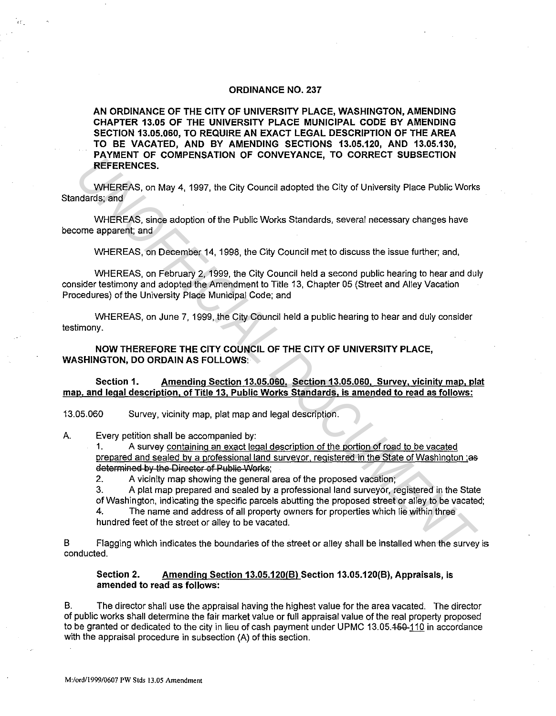## **ORDINANCE NO. 237**

**AN ORDINANCE OF THE CITY OF UNIVERSITY PLACE, WASHINGTON, AMENDING CHAPTER 13.05 OF THE UNIVERSITY PLACE MUNICIPAL CODE BY AMENDING SECTION 13.05.060, TO REQUIRE AN EXACT LEGAL DESCRIPTION OF THE AREA TO BE VACATED, AND BY AMENDING SECTIONS 13.05.120, AND 13.05.130, PAYMENT OF COMPENSATION OF CONVEYANCE, TO CORRECT SUBSECTION REFERENCES.** 

WHEREAS, on May 4, 1997, the City Council adopted the City of University Place Public Works Standards; and

WHEREAS, since adoption of the Public Works Standards, several necessary changes have become apparent; and

WHEREAS, on December 14, 1998, the City Council met to discuss the issue further; and,

WHEREAS, on February 2, 1999, the City Council held a second public hearing to hear and duly consider testimony and adopted the Amendment to Title 13, Chapter 05 (Street and Alley Vacation Procedures) of the University Place Municipal Code; and **EXERCT OF CONFERENT CONFERENT CONFERENT CONFERENT CONFERENT CONFERENT CONFERENT CONFERENT CONFERENT CONFERENT CONFERENT CONFERENT CONFERENT AND CONFERENT AND CONFERENT AND CONFERENT AND WHEREAS, on Desember 14, 1998, the** 

WHEREAS, on June 7, 1999, the City Council held a public hearing to hear and duly consider testimony.

**NOW THEREFORE THE CITY COUNCIL OF THE CITY OF UNIVERSITY PLACE, WASHINGTON, DO ORDAIN AS FOLLOWS:** 

**Section 1. Amending Section 13.05.060. Section 13.05.060, Survev. vicinity map, plat map, and legal description, of Title 13, Public Works Standards, is amended to read as follows:** 

13.05.060 Survey, vicinity map, plat map and legal description.

A. Every petition shall be accompanied by:

1. A survey containing an exact legal description of the portion of road to be vacated prepared and sealed by a professional land surveyor, registered in the State of Washington :as determined by the Director of Public Works;

2. A vicinity map showing the general area of the proposed vacation;

3. A plat map prepared and sealed by a professional land surveyor, registered in the State of Washington, indicating the specific parcels abutting the proposed street or alley to be vacated;

4. The name and address of all property owners for properties which lie within three hundred feet of the street or alley to be vacated.

B Flagging which indicates the boundaries of the street or alley shall be installed when the survey is conducted.

## **Section 2. Amending Section 13.05.120(B) Section 13.05.120(B), Appraisals, is amended to read as follows:**

B. The director shall use the appraisal having the highest value for the area vacated. The director of public works shall determine the fair market value or full appraisal value of the real property proposed to be granted or dedicated to the city in lieu of cash payment under UPMC 13.05.450-110 in accordance with the appraisal procedure in subsection (A) of this section.